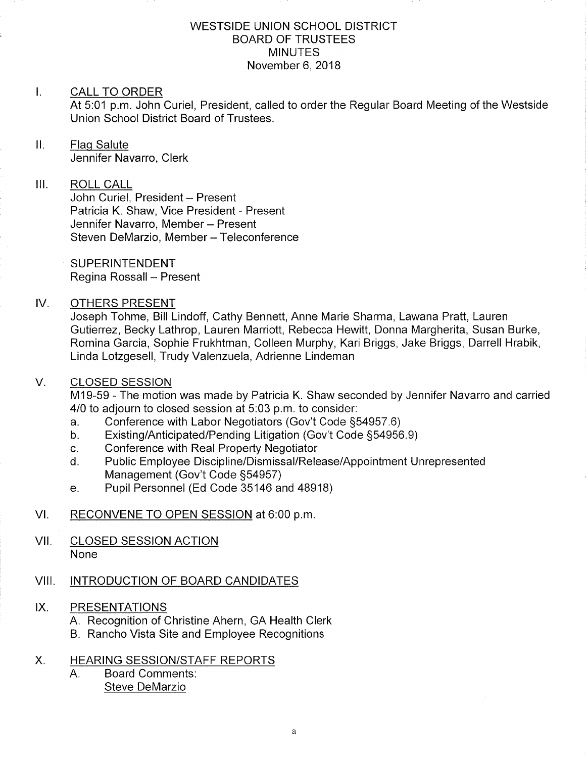#### WESTSIDE UNION SCHOOL DISTRICT BOARD OF TRUSTEES **MINUTES** November 6, 2018

#### $\mathbf{L}$ CALL TO ORDER

At 5:01 p.m. John Curiel, President, called to order the Regular Board Meeting of the Westside Union School District Board of Trustees.

## ll. Flaq Salute

Jennifer Navarro, Clerk

## III. ROLL CALL

John Curiel, President - Present Patricia K. Shaw, Vice President - Present Jennifer Navarro, Member - Present Steven DeMarzio, Member - Teleconference

**SUPERINTENDENT** Regina Rossall - Present

#### IV OTHERS PRESENT

Joseph Tohme, Bill Lindoff, Cathy Bennett, Anne Marie Sharma, Lawana Pratt, Lauren Gutierrez, Becky Lathrop, Lauren Marriott, Rebecca Hewitt, Donna Margherita, Susan Burke, Romina Garcia, Sophie Frukhtman, Colleen Murphy, Kari Briggs, Jake Briggs, Darrell Hrabik, Linda Lotzgesell, Trudy Valenzuela, Adrienne Lindeman

#### CLOSED SESSION V

M19-59 - The motion was made by Patricia K. Shaw seconded by Jennifer Navarro and carried 4/0 to adjourn to closed session at 5:03 p.m. to consider:<br>a. Conference with Labor Negotiators (Gov't Code §54957.6)

- 
- a. Conference with Labor Negotiators (Gov't Code §54957.6)<br>b. Existing/Anticipated/Pending Litigation (Gov't Code §54956.9)<br>c. Conference with Real Property Negotiator
- 
- c. Conference with Real Property Negotiator<br>d. Public Employee Discipline/Dismissal/Release/Appointment Unrepresented<br>Management (Gov't Code §54957)
- e. Pupil Personnel (Ed Code 35146 and 48918)

## VI. RECONVENE TO OPEN SESSION at 6:00 p.m.

VII. CLOSED SESSION ACTION None

#### VIII. INTRODUCTION OF BOARD CANDIDATES

#### PRESENTATIONS  $IX.$

- A. Recognition of Christine Ahern, GA Health Clerk
- B. Rancho Vista Site and Employee Recognitions

## X. HEARING SESSION/STAFF REPORTS

Board Comments Steve DeMarzio  $A_{1}$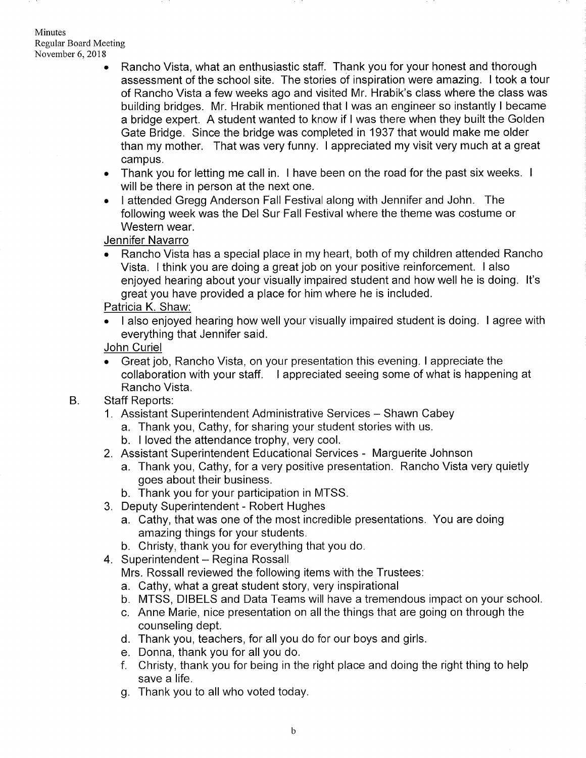#### Minutes Regular Board Meeting November 6,2018

- . Rancho Vista, what an enthusiastic staff. Thank you for your honest and thorough assessment of the school site. The stories of inspiration were amazing. I took a tour of Rancho Vista a few weeks ago and visited Mr. Hrabik's class where the class was building bridges. Mr. Hrabik mentioned that I was an engineer so instantly I became a bridge expert. A student wanted to know if I was there when they built the Golden Gate Bridge. Since the bridge was completed in 1937 that would make me older than my mother. That was very funny. I appreciated my visit very much at a great campus.
- . Thank you for letting me call in. I have been on the road for the past six weeks. <sup>I</sup> will be there in person at the next one.
- . I attended Gregg Anderson Fall Festival along with Jennifer and John. The following week was the Del Sur Fall Festival where the theme was costume or Western wear.

## Jennifer Navarro

. Rancho Vista has a special place in my heart, both of my children attended Rancho Vista. I think you are doing a great job on your positive reinforcement. I also enjoyed hearing about your visually impaired student and how well he is doing. lt's great you have provided a place for him where he is included.

## Patricia K. Shaw.

. I also enjoyed hearing how well your visually impaired student is doing. <sup>I</sup>agree with everything that Jennifer said.

#### John Curiel

- Great job. Rancho Vista, on your presentation this evening. I appreciate the collaboration with your staff. I appreciated seeing some of what is happening at Rancho Vista.
- Staff Reports: B.
	- 1. Assistant Superintendent Administrative Services Shawn Cabey
		- a. Thank you, Cathy, for sharing your student stories with us.
		- b. I loved the attendance trophy, very cool.
	- 2. Assistant Superintendent Educational Services Marguerite Johnson
		- a. Thank you, Cathy, for a very positive presentation. Rancho Vista very quietly goes about their business.
		- b. Thank you for your participation in MTSS.
	- 3. Deputy Superintendent Robert Hughes
		- a. Cathy, that was one of the most incredible presentations. You are doing amazing things for your students.
		- b. Christy, thank you for everything that you do.
	- 4. Superintendent Regina Rossall

Mrs. Rossall reviewed the following items with the Trustees:

- a. Cathy, what a great student story, very inspirational
- b. MTSS, DIBELS and Data Teams will have a tremendous impact on your school
- c. Anne Marie, nice presentation on all the things that are going on through the counseling dept.
- d. Thank you, teachers, for all you do for our boys and girls.
- 
- e. Donna, thank you for all you do.<br>f. Christy, thank you for being in the right place and doing the right thing to help save a life.
- g. Thank you to all who voted today.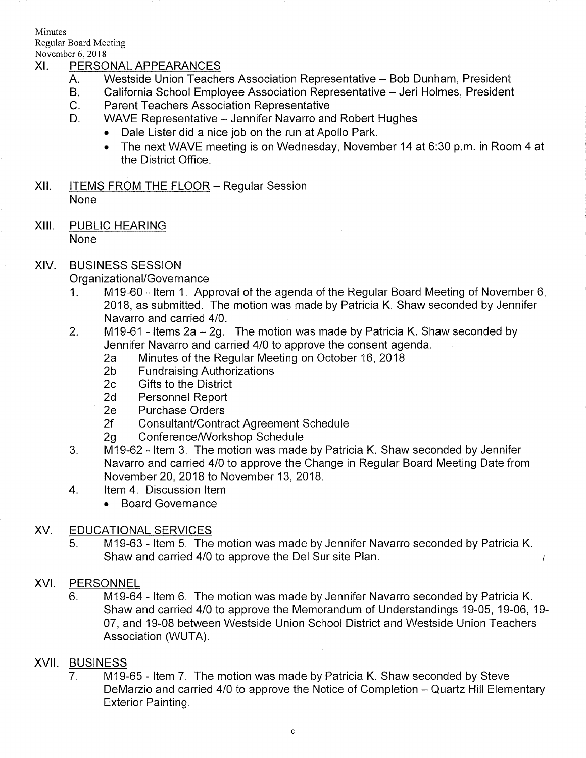Minutes Regular Board Meeting

# November 6, 2018<br>XI. PERSONAL APPEARANCES

- A. Westside Union Teachers Association Representative - Bob Dunham, President
- B. California School Employee Association Representative - Jeri Holmes, President
- C. Parent Teachers Association Representative
- D. WAVE Representative - Jennifer Navarro and Robert Hughes
	- . Dale Lister did a nice job on the run at Apollo Park.
	- . The next WAVE meeting is on Wednesday, November 14 at 6:30 p.m. in Room 4 at the District Office.
- XII. **ITEMS FROM THE FLOOR Regular Session** None
- XIII. PUBLIC HEARING None

## XIV. BUSINESS SESSION

- Organizational/Governance<br>1. M19-60 Item 1. Approval of the agenda of the Regular Board Meeting of November 6, 2018, as submitted. The motion was made by Patricia K. Shaw seconded by Jennifer Navarro and carried 410.
- 2. M19-61 Items  $2a 2g$ . The motion was made by Patricia K. Shaw seconded by Jennifer Navarro and carried 410 to approve the consent agenda. 2a Minutes of the Regular Meeting on October 16,2018 2b Fundraising Authorizations 2c Gifts to the District
	-
	-
	-
	-
	- 2d Personnel Report<br>2e Purchase Orders
	-
	-
- 2f Consultant/Contract Agreement Schedule<br>2g Conference/Workshop Schedule<br>3. M19-62 Item 3. The motion was made by Patricia K. Shaw seconded by Jennifer Navarro and carried 410 to approve the Change in Regular Board Meeting Date from November 20,2018 to November 13, 2018. 4. ltem 4. Discussion ltem
- - . Board Governance

## XV. EDUCATIONAL SERVICES

5. M19-63 - Item 5. The motion was made by Jennifer Navarro seconded by Patricia K. Shaw and carried 410 to approve the Del Sur site Plan.

Í

## XVI. PERSONNEL

6. M19-64 - ltem 6. The motion was made by Jennifer Navarro seconded by Patricia K. Shaw and carried 410 to approve the Memorandum of Understandings 19-05, 19-06, 19- 07, and 19-08 between Westside Union School District and Westside Union Teachers Association (WUTA).

## XVII. BUSINESS

M19-65 - ltem 7. The motion was made by Patricia K. Shaw seconded by Steve DeMarzio and carried 4/0 to approve the Notice of Completion – Quartz Hill Elementary Exterior Painting.  $7<sub>1</sub>$